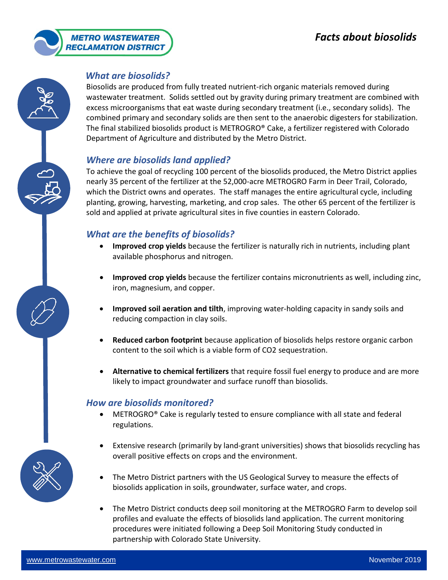

# *What are biosolids?*

Biosolids are produced from fully treated nutrient-rich organic materials removed during wastewater treatment. Solids settled out by gravity during primary treatment are combined with excess microorganisms that eat waste during secondary treatment (i.e., secondary solids). The combined primary and secondary solids are then sent to the anaerobic digesters for stabilization. The final stabilized biosolids product is METROGRO® Cake, a fertilizer registered with Colorado Department of Agriculture and distributed by the Metro District.

# *Where are biosolids land applied?*

To achieve the goal of recycling 100 percent of the biosolids produced, the Metro District applies nearly 35 percent of the fertilizer at the 52,000-acre METROGRO Farm in Deer Trail, Colorado, which the District owns and operates. The staff manages the entire agricultural cycle, including planting, growing, harvesting, marketing, and crop sales. The other 65 percent of the fertilizer is sold and applied at private agricultural sites in five counties in eastern Colorado.

# *What are the benefits of biosolids?*

- **Improved crop yields** because the fertilizer is naturally rich in nutrients, including plant available phosphorus and nitrogen.
- **Improved crop yields** because the fertilizer contains micronutrients as well, including zinc, iron, magnesium, and copper.
- **Improved soil aeration and tilth**, improving water-holding capacity in sandy soils and reducing compaction in clay soils.
- **Reduced carbon footprint** because application of biosolids helps restore organic carbon content to the soil which is a viable form of CO2 sequestration.
- **Alternative to chemical fertilizers** that require fossil fuel energy to produce and are more likely to impact groundwater and surface runoff than biosolids.

# *How are biosolids monitored?*

- METROGRO® Cake is regularly tested to ensure compliance with all state and federal regulations.
- Extensive research (primarily by land-grant universities) shows that biosolids recycling has overall positive effects on crops and the environment.
- The Metro District partners with the US Geological Survey to measure the effects of biosolids application in soils, groundwater, surface water, and crops.
- The Metro District conducts deep soil monitoring at the METROGRO Farm to develop soil profiles and evaluate the effects of biosolids land application. The current monitoring procedures were initiated following a Deep Soil Monitoring Study conducted in partnership with Colorado State University.